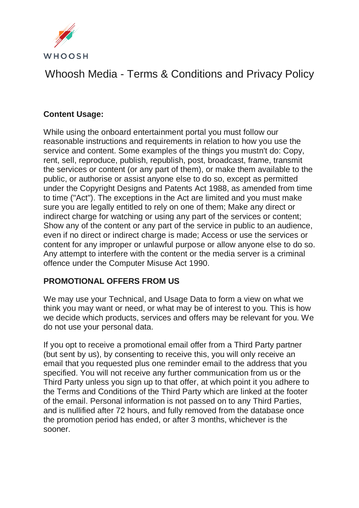

# Whoosh Media - Terms & Conditions and Privacy Policy

### **Content Usage:**

While using the onboard entertainment portal you must follow our reasonable instructions and requirements in relation to how you use the service and content. Some examples of the things you mustn't do: Copy, rent, sell, reproduce, publish, republish, post, broadcast, frame, transmit the services or content (or any part of them), or make them available to the public, or authorise or assist anyone else to do so, except as permitted under the Copyright Designs and Patents Act 1988, as amended from time to time ("Act"). The exceptions in the Act are limited and you must make sure you are legally entitled to rely on one of them; Make any direct or indirect charge for watching or using any part of the services or content; Show any of the content or any part of the service in public to an audience, even if no direct or indirect charge is made; Access or use the services or content for any improper or unlawful purpose or allow anyone else to do so. Any attempt to interfere with the content or the media server is a criminal offence under the Computer Misuse Act 1990.

#### **PROMOTIONAL OFFERS FROM US**

We may use your Technical, and Usage Data to form a view on what we think you may want or need, or what may be of interest to you. This is how we decide which products, services and offers may be relevant for you. We do not use your personal data.

If you opt to receive a promotional email offer from a Third Party partner (but sent by us), by consenting to receive this, you will only receive an email that you requested plus one reminder email to the address that you specified. You will not receive any further communication from us or the Third Party unless you sign up to that offer, at which point it you adhere to the Terms and Conditions of the Third Party which are linked at the footer of the email. Personal information is not passed on to any Third Parties, and is nullified after 72 hours, and fully removed from the database once the promotion period has ended, or after 3 months, whichever is the sooner.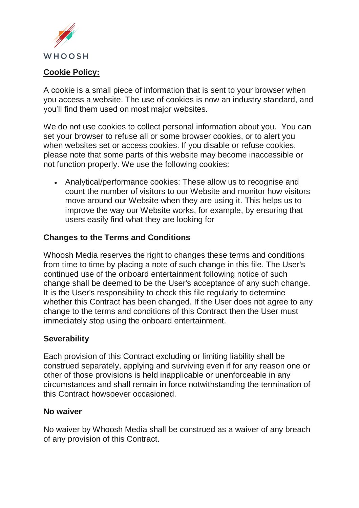

#### **Cookie Policy:**

A cookie is a small piece of information that is sent to your browser when you access a website. The use of cookies is now an industry standard, and you'll find them used on most major websites.

We do not use cookies to collect personal information about you. You can set your browser to refuse all or some browser cookies, or to alert you when websites set or access cookies. If you disable or refuse cookies, please note that some parts of this website may become inaccessible or not function properly. We use the following cookies:

• Analytical/performance cookies: These allow us to recognise and count the number of visitors to our Website and monitor how visitors move around our Website when they are using it. This helps us to improve the way our Website works, for example, by ensuring that users easily find what they are looking for

#### **Changes to the Terms and Conditions**

Whoosh Media reserves the right to changes these terms and conditions from time to time by placing a note of such change in this file. The User's continued use of the onboard entertainment following notice of such change shall be deemed to be the User's acceptance of any such change. It is the User's responsibility to check this file regularly to determine whether this Contract has been changed. If the User does not agree to any change to the terms and conditions of this Contract then the User must immediately stop using the onboard entertainment.

#### **Severability**

Each provision of this Contract excluding or limiting liability shall be construed separately, applying and surviving even if for any reason one or other of those provisions is held inapplicable or unenforceable in any circumstances and shall remain in force notwithstanding the termination of this Contract howsoever occasioned.

#### **No waiver**

No waiver by Whoosh Media shall be construed as a waiver of any breach of any provision of this Contract.